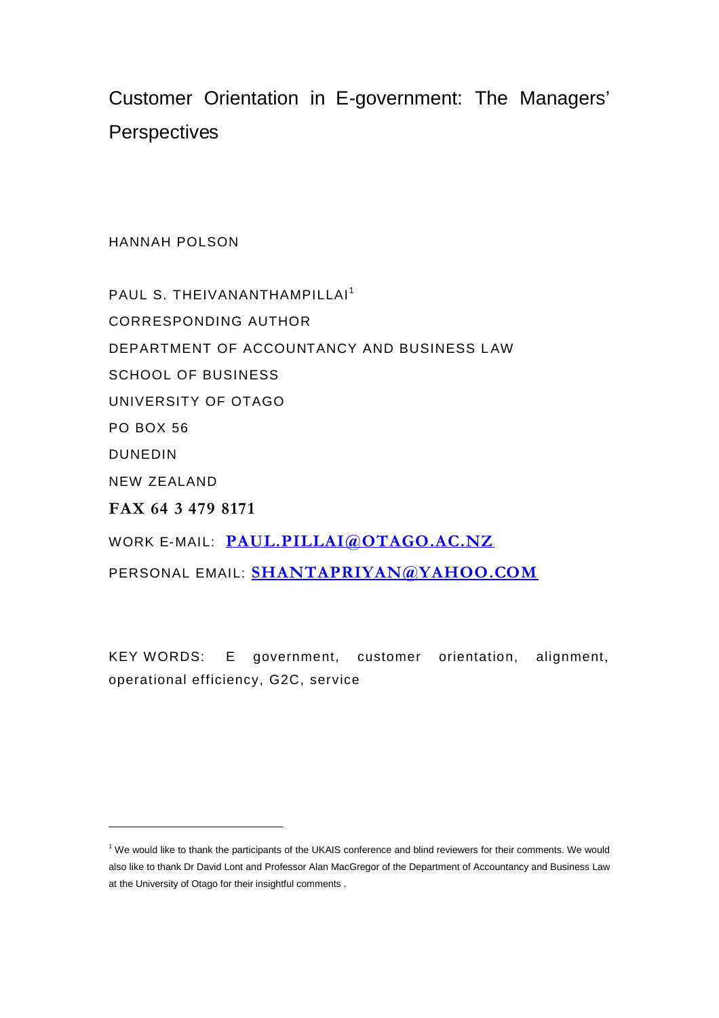Customer Orientation in E-government: The Managers' **Perspectives** 

HANNAH POLSON

PAUL S. THEIVANANTHAMPILLAI<sup>1</sup> CORRESPONDING AUTHOR DEPARTMENT OF ACCOUNTANCY AND BUSINESS LAW SCHOOL OF BUSINESS UNIVERSITY OF OTAGO PO BOX 56 DUNEDIN NEW ZEALAND **FAX 64 3 479 8171** WORK E-MAIL: **PAUL.PILLAI@OTAGO.AC.NZ** PERSONAL EMAIL: **SHANTAPRIYAN@YAHOO.COM**

KEY WORDS: E government, customer orientation, alignment, operational efficiency, G2C, service

<sup>1</sup> We would like to thank the participants of the UKAIS conference and blind reviewers for their comments. We would also like to thank Dr David Lont and Professor Alan MacGregor of the Department of Accountancy and Business Law at the University of Otago for their insightful comments .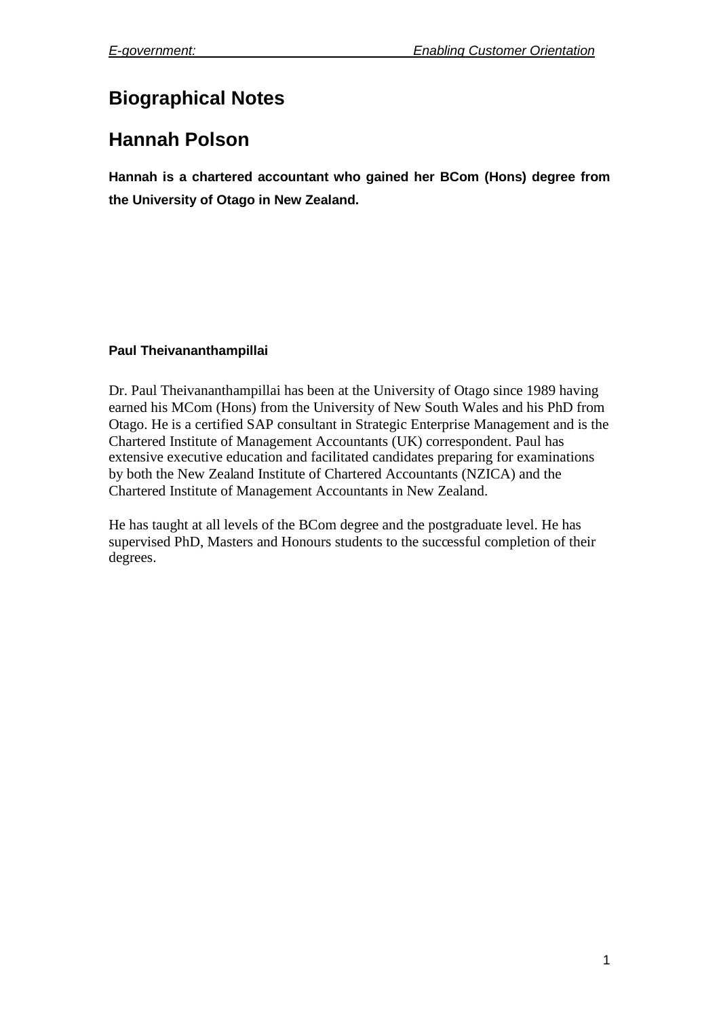# **Biographical Notes**

## **Hannah Polson**

**Hannah is a chartered accountant who gained her BCom (Hons) degree from the University of Otago in New Zealand.**

## **Paul Theivananthampillai**

Dr. Paul Theivananthampillai has been at the University of Otago since 1989 having earned his MCom (Hons) from the University of New South Wales and his PhD from Otago. He is a certified SAP consultant in Strategic Enterprise Management and is the Chartered Institute of Management Accountants (UK) correspondent. Paul has extensive executive education and facilitated candidates preparing for examinations by both the New Zealand Institute of Chartered Accountants (NZICA) and the Chartered Institute of Management Accountants in New Zealand.

He has taught at all levels of the BCom degree and the postgraduate level. He has supervised PhD, Masters and Honours students to the successful completion of their degrees.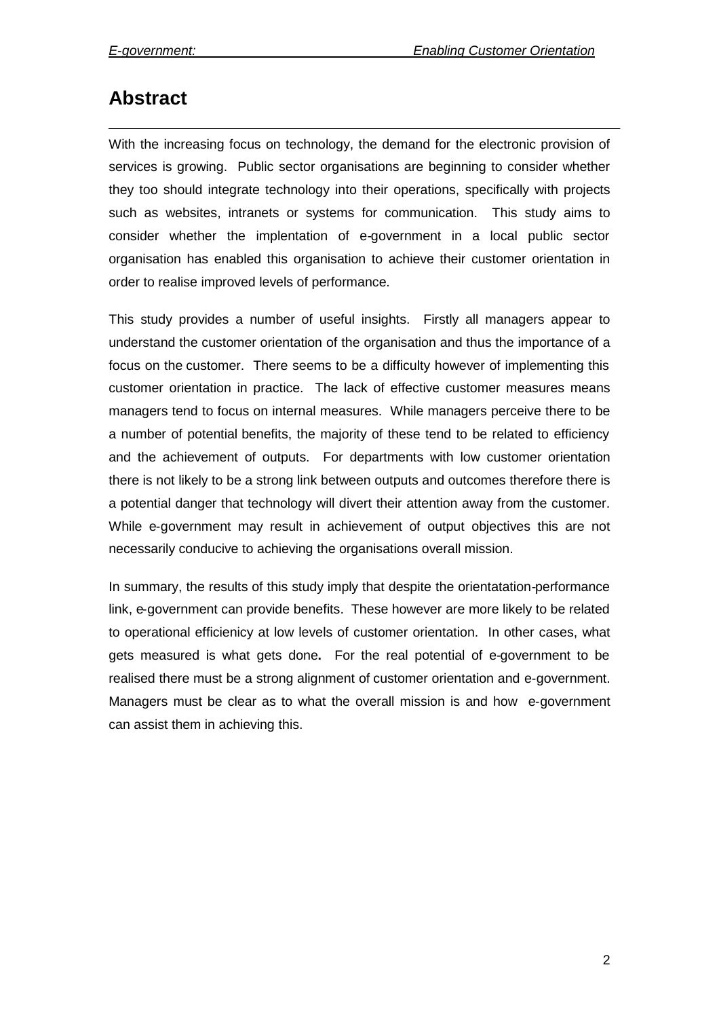## **Abstract**

With the increasing focus on technology, the demand for the electronic provision of services is growing. Public sector organisations are beginning to consider whether they too should integrate technology into their operations, specifically with projects such as websites, intranets or systems for communication. This study aims to consider whether the implentation of e-government in a local public sector organisation has enabled this organisation to achieve their customer orientation in order to realise improved levels of performance.

This study provides a number of useful insights. Firstly all managers appear to understand the customer orientation of the organisation and thus the importance of a focus on the customer. There seems to be a difficulty however of implementing this customer orientation in practice. The lack of effective customer measures means managers tend to focus on internal measures. While managers perceive there to be a number of potential benefits, the majority of these tend to be related to efficiency and the achievement of outputs. For departments with low customer orientation there is not likely to be a strong link between outputs and outcomes therefore there is a potential danger that technology will divert their attention away from the customer. While e-government may result in achievement of output objectives this are not necessarily conducive to achieving the organisations overall mission.

In summary, the results of this study imply that despite the orientatation-performance link, e-government can provide benefits. These however are more likely to be related to operational efficienicy at low levels of customer orientation. In other cases, what gets measured is what gets done**.** For the real potential of e-government to be realised there must be a strong alignment of customer orientation and e-government. Managers must be clear as to what the overall mission is and how e-government can assist them in achieving this.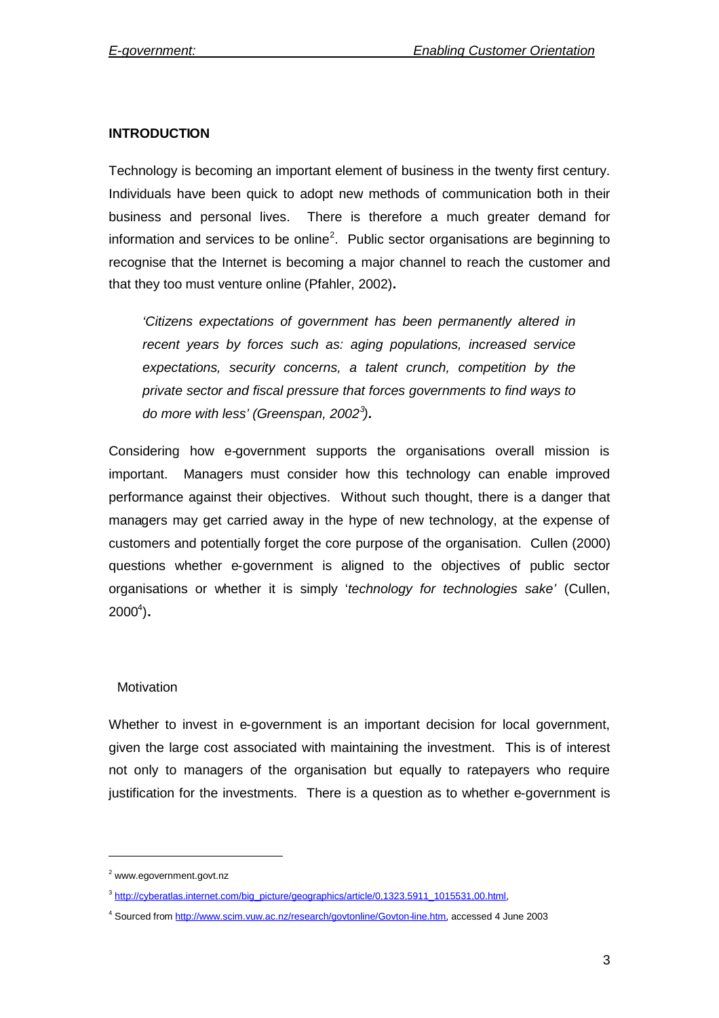### **INTRODUCTION**

Technology is becoming an important element of business in the twenty first century. Individuals have been quick to adopt new methods of communication both in their business and personal lives. There is therefore a much greater demand for information and services to be online<sup>2</sup>. Public sector organisations are beginning to recognise that the Internet is becoming a major channel to reach the customer and that they too must venture online (Pfahler, 2002)**.**

*'Citizens expectations of government has been permanently altered in recent years by forces such as: aging populations, increased service expectations, security concerns, a talent crunch, competition by the private sector and fiscal pressure that forces governments to find ways to do more with less' (Greenspan, 2002<sup>3</sup> ).*

Considering how e-government supports the organisations overall mission is important. Managers must consider how this technology can enable improved performance against their objectives. Without such thought, there is a danger that managers may get carried away in the hype of new technology, at the expense of customers and potentially forget the core purpose of the organisation. Cullen (2000) questions whether e-government is aligned to the objectives of public sector organisations or whether it is simply '*technology for technologies sake'* (Cullen, 2000<sup>4</sup> )**.**

#### **Motivation**

Whether to invest in e-government is an important decision for local government, given the large cost associated with maintaining the investment. This is of interest not only to managers of the organisation but equally to ratepayers who require justification for the investments. There is a question as to whether e-government is

<sup>2</sup> www.egovernment.govt.nz

<sup>&</sup>lt;sup>3</sup> http://cyberatlas.internet.com/big\_picture/geographics/article/0,1323,5911\_1015531,00.html,

<sup>4</sup> Sourced from http://www.scim.vuw.ac.nz/research/govtonline/Govton-line.htm, accessed 4 June 2003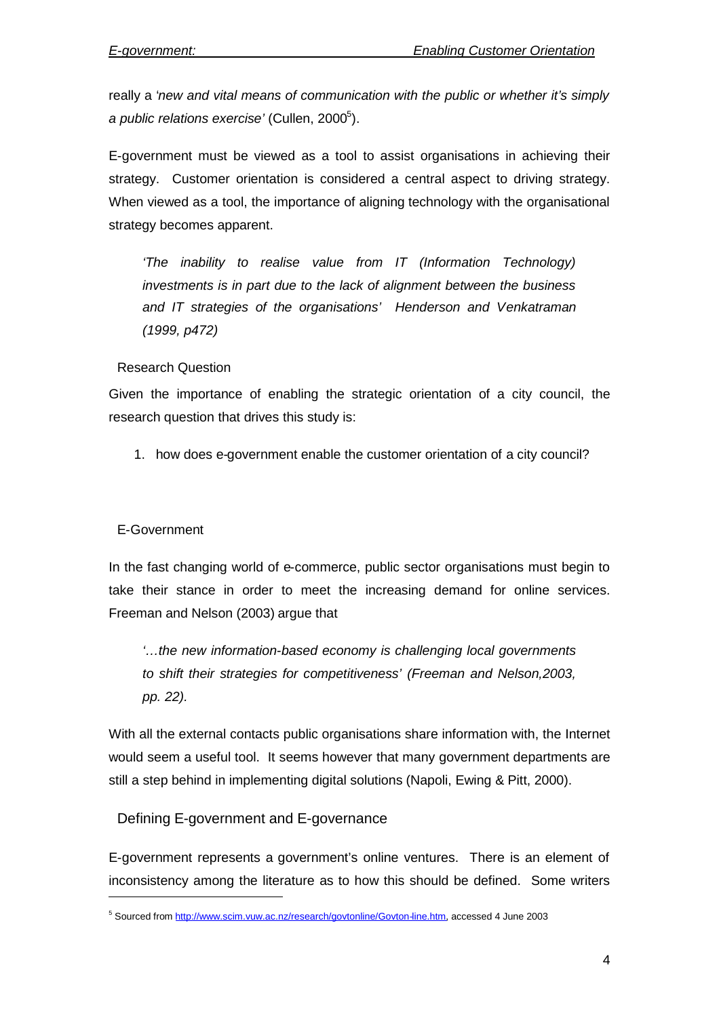really a '*new and vital means of communication with the public or whether it's simply* a public relations exercise' (Cullen, 2000<sup>5</sup>).

E-government must be viewed as a tool to assist organisations in achieving their strategy. Customer orientation is considered a central aspect to driving strategy. When viewed as a tool, the importance of aligning technology with the organisational strategy becomes apparent.

*'The inability to realise value from IT (Information Technology) investments is in part due to the lack of alignment between the business and IT strategies of the organisations' Henderson and Venkatraman (1999, p472)*

## Research Question

Given the importance of enabling the strategic orientation of a city council, the research question that drives this study is:

1. how does e-government enable the customer orientation of a city council?

## E-Government

In the fast changing world of e-commerce, public sector organisations must begin to take their stance in order to meet the increasing demand for online services. Freeman and Nelson (2003) argue that

*'…the new information-based economy is challenging local governments to shift their strategies for competitiveness' (Freeman and Nelson,2003, pp. 22).*

With all the external contacts public organisations share information with, the Internet would seem a useful tool. It seems however that many government departments are still a step behind in implementing digital solutions (Napoli, Ewing & Pitt, 2000).

## Defining E-government and E-governance

E-government represents a government's online ventures. There is an element of inconsistency among the literature as to how this should be defined. Some writers

<sup>5</sup> Sourced from http://www.scim.vuw.ac.nz/research/govtonline/Govton-line.htm, accessed 4 June 2003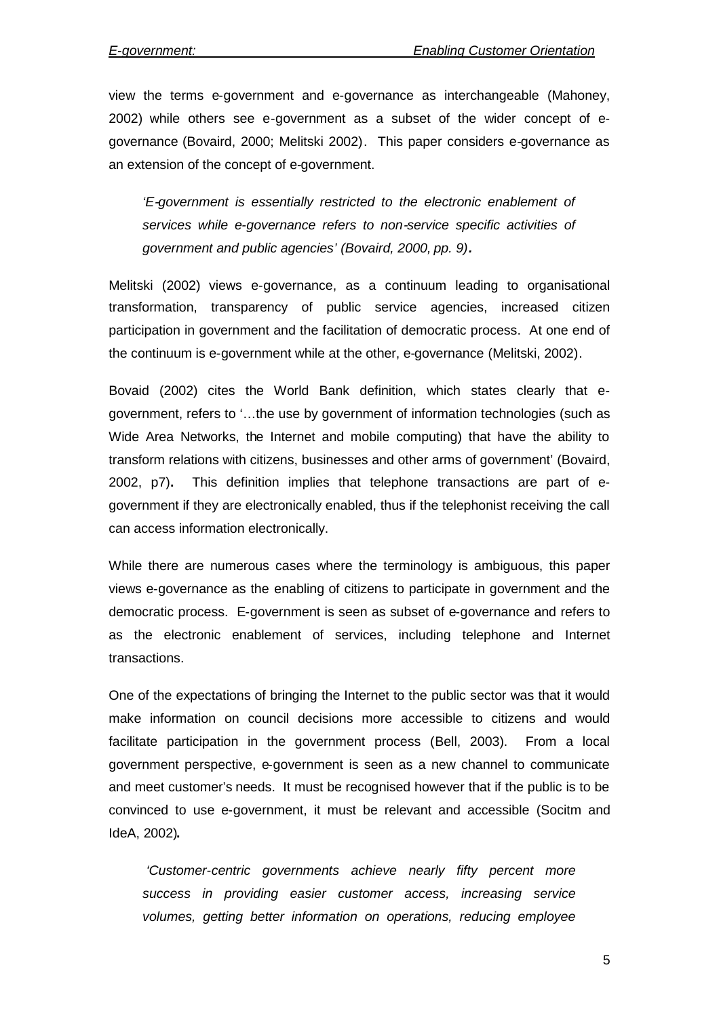view the terms e-government and e-governance as interchangeable (Mahoney, 2002) while others see e-government as a subset of the wider concept of egovernance (Bovaird, 2000; Melitski 2002). This paper considers e-governance as an extension of the concept of e-government.

*'E-government is essentially restricted to the electronic enablement of services while e-governance refers to non-service specific activities of government and public agencies' (Bovaird, 2000, pp. 9).*

Melitski (2002) views e-governance, as a continuum leading to organisational transformation, transparency of public service agencies, increased citizen participation in government and the facilitation of democratic process. At one end of the continuum is e-government while at the other, e-governance (Melitski, 2002).

Bovaid (2002) cites the World Bank definition, which states clearly that egovernment, refers to '…the use by government of information technologies (such as Wide Area Networks, the Internet and mobile computing) that have the ability to transform relations with citizens, businesses and other arms of government' (Bovaird, 2002, p7)**.** This definition implies that telephone transactions are part of egovernment if they are electronically enabled, thus if the telephonist receiving the call can access information electronically.

While there are numerous cases where the terminology is ambiguous, this paper views e-governance as the enabling of citizens to participate in government and the democratic process. E-government is seen as subset of e-governance and refers to as the electronic enablement of services, including telephone and Internet transactions.

One of the expectations of bringing the Internet to the public sector was that it would make information on council decisions more accessible to citizens and would facilitate participation in the government process (Bell, 2003). From a local government perspective, e-government is seen as a new channel to communicate and meet customer's needs. It must be recognised however that if the public is to be convinced to use e-government, it must be relevant and accessible (Socitm and IdeA, 2002)**.**

*'Customer-centric governments achieve nearly fifty percent more success in providing easier customer access, increasing service volumes, getting better information on operations, reducing employee*

5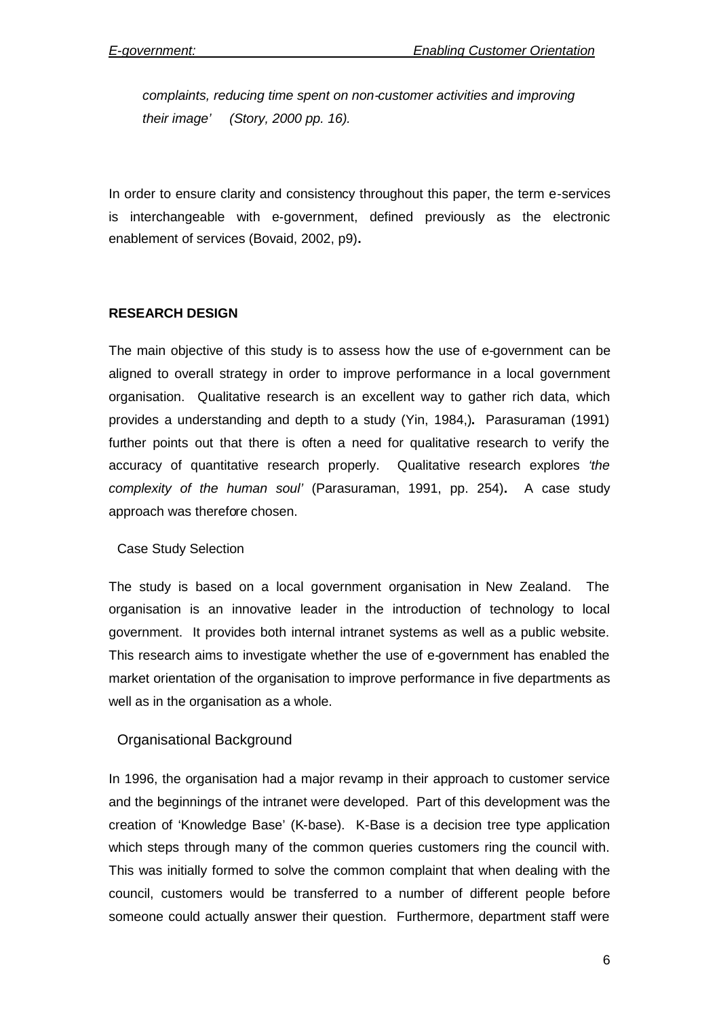*complaints, reducing time spent on non-customer activities and improving their image' (Story, 2000 pp. 16).*

In order to ensure clarity and consistency throughout this paper, the term e-services is interchangeable with e-government, defined previously as the electronic enablement of services (Bovaid, 2002, p9)**.**

## **RESEARCH DESIGN**

The main objective of this study is to assess how the use of e-government can be aligned to overall strategy in order to improve performance in a local government organisation. Qualitative research is an excellent way to gather rich data, which provides a understanding and depth to a study (Yin, 1984,)**.** Parasuraman (1991) further points out that there is often a need for qualitative research to verify the accuracy of quantitative research properly. Qualitative research explores *'the complexity of the human soul'* (Parasuraman, 1991, pp. 254)**.** A case study approach was therefore chosen.

#### Case Study Selection

The study is based on a local government organisation in New Zealand. The organisation is an innovative leader in the introduction of technology to local government. It provides both internal intranet systems as well as a public website. This research aims to investigate whether the use of e-government has enabled the market orientation of the organisation to improve performance in five departments as well as in the organisation as a whole.

## Organisational Background

In 1996, the organisation had a major revamp in their approach to customer service and the beginnings of the intranet were developed. Part of this development was the creation of 'Knowledge Base' (K-base). K-Base is a decision tree type application which steps through many of the common queries customers ring the council with. This was initially formed to solve the common complaint that when dealing with the council, customers would be transferred to a number of different people before someone could actually answer their question. Furthermore, department staff were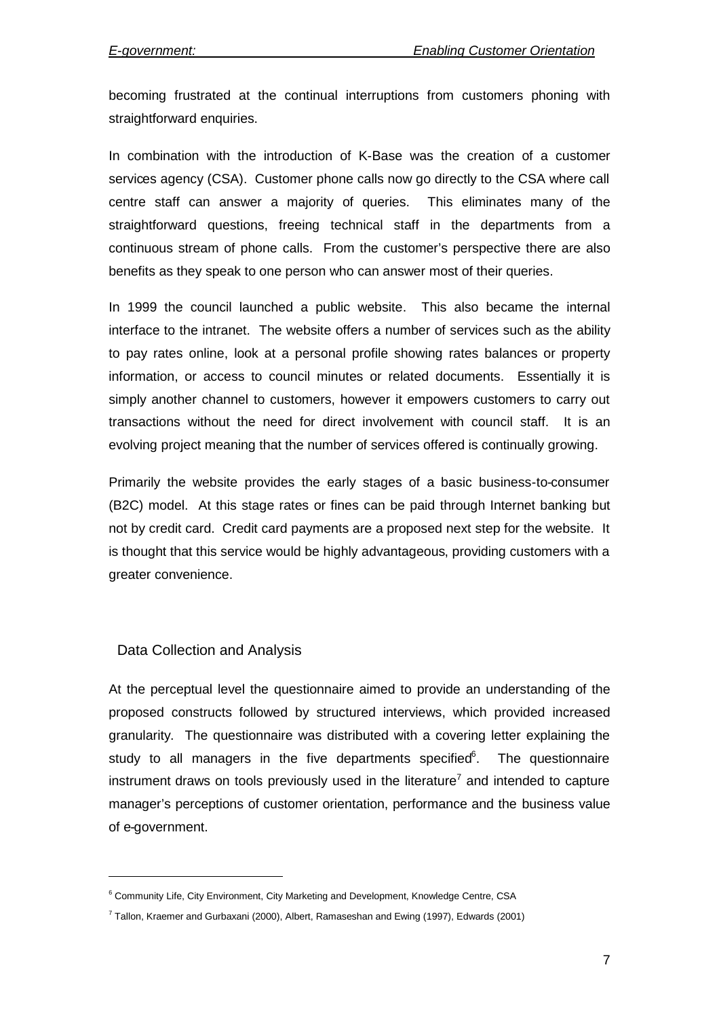becoming frustrated at the continual interruptions from customers phoning with straightforward enquiries.

In combination with the introduction of K-Base was the creation of a customer services agency (CSA). Customer phone calls now go directly to the CSA where call centre staff can answer a majority of queries. This eliminates many of the straightforward questions, freeing technical staff in the departments from a continuous stream of phone calls. From the customer's perspective there are also benefits as they speak to one person who can answer most of their queries.

In 1999 the council launched a public website. This also became the internal interface to the intranet. The website offers a number of services such as the ability to pay rates online, look at a personal profile showing rates balances or property information, or access to council minutes or related documents. Essentially it is simply another channel to customers, however it empowers customers to carry out transactions without the need for direct involvement with council staff. It is an evolving project meaning that the number of services offered is continually growing.

Primarily the website provides the early stages of a basic business-to-consumer (B2C) model. At this stage rates or fines can be paid through Internet banking but not by credit card. Credit card payments are a proposed next step for the website. It is thought that this service would be highly advantageous, providing customers with a greater convenience.

## Data Collection and Analysis

At the perceptual level the questionnaire aimed to provide an understanding of the proposed constructs followed by structured interviews, which provided increased granularity. The questionnaire was distributed with a covering letter explaining the study to all managers in the five departments specified $6$ . The questionnaire instrument draws on tools previously used in the literature<sup>7</sup> and intended to capture manager's perceptions of customer orientation, performance and the business value of e-government.

<sup>&</sup>lt;sup>6</sup> Community Life, City Environment, City Marketing and Development, Knowledge Centre, CSA

 $^7$  Tallon, Kraemer and Gurbaxani (2000), Albert, Ramaseshan and Ewing (1997), Edwards (2001)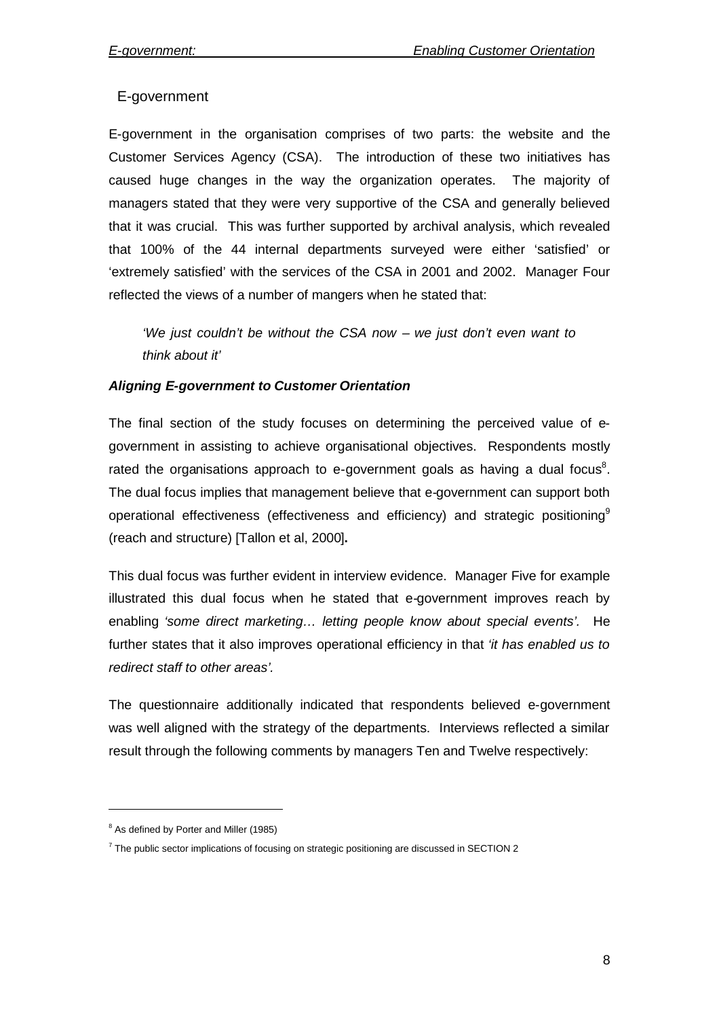## E-government

E-government in the organisation comprises of two parts: the website and the Customer Services Agency (CSA). The introduction of these two initiatives has caused huge changes in the way the organization operates. The majority of managers stated that they were very supportive of the CSA and generally believed that it was crucial. This was further supported by archival analysis, which revealed that 100% of the 44 internal departments surveyed were either 'satisfied' or 'extremely satisfied' with the services of the CSA in 2001 and 2002. Manager Four reflected the views of a number of mangers when he stated that:

*'We just couldn't be without the CSA now – we just don't even want to think about it'*

## *Aligning E-government to Customer Orientation*

The final section of the study focuses on determining the perceived value of egovernment in assisting to achieve organisational objectives. Respondents mostly rated the organisations approach to e-government goals as having a dual focus<sup>8</sup>. The dual focus implies that management believe that e-government can support both operational effectiveness (effectiveness and efficiency) and strategic positioning<sup>9</sup> (reach and structure) [Tallon et al, 2000]**.**

This dual focus was further evident in interview evidence. Manager Five for example illustrated this dual focus when he stated that e-government improves reach by enabling *'some direct marketing… letting people know about special events'.* He further states that it also improves operational efficiency in that *'it has enabled us to redirect staff to other areas'.*

The questionnaire additionally indicated that respondents believed e-government was well aligned with the strategy of the departments. Interviews reflected a similar result through the following comments by managers Ten and Twelve respectively:

<sup>8</sup> As defined by Porter and Miller (1985)

 $\rm ^7$  The public sector implications of focusing on strategic positioning are discussed in SECTION 2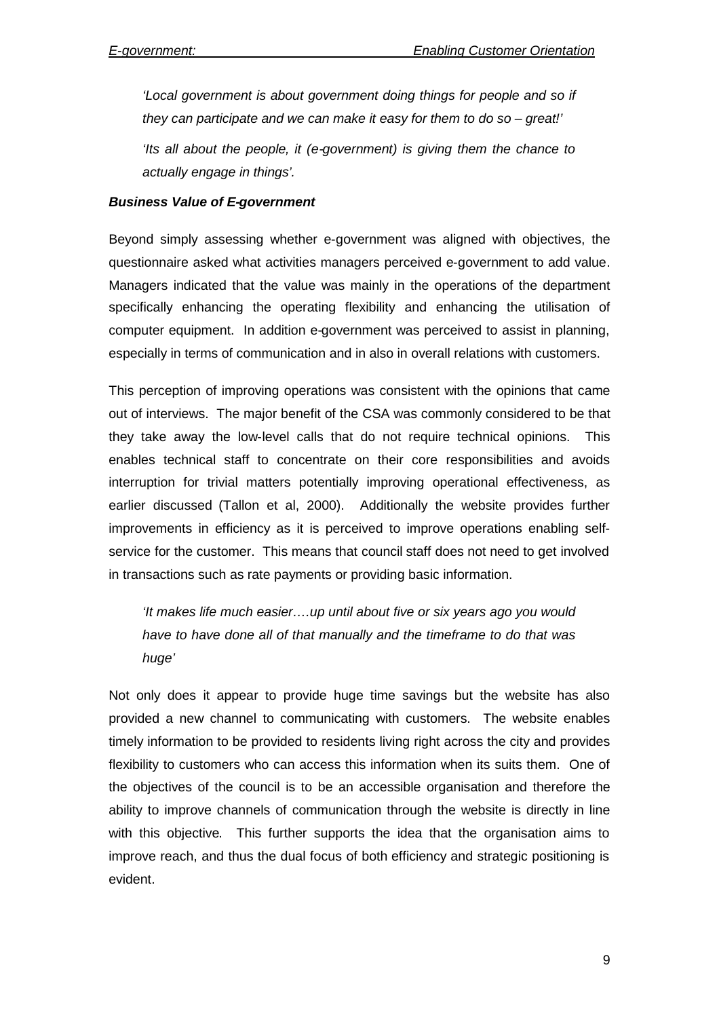*'Local government is about government doing things for people and so if they can participate and we can make it easy for them to do so – great!'*

*'Its all about the people, it (e-government) is giving them the chance to actually engage in things'.*

#### *Business Value of E-government*

Beyond simply assessing whether e-government was aligned with objectives, the questionnaire asked what activities managers perceived e-government to add value. Managers indicated that the value was mainly in the operations of the department specifically enhancing the operating flexibility and enhancing the utilisation of computer equipment. In addition e-government was perceived to assist in planning, especially in terms of communication and in also in overall relations with customers.

This perception of improving operations was consistent with the opinions that came out of interviews. The major benefit of the CSA was commonly considered to be that they take away the low-level calls that do not require technical opinions. This enables technical staff to concentrate on their core responsibilities and avoids interruption for trivial matters potentially improving operational effectiveness, as earlier discussed (Tallon et al, 2000). Additionally the website provides further improvements in efficiency as it is perceived to improve operations enabling selfservice for the customer. This means that council staff does not need to get involved in transactions such as rate payments or providing basic information.

*'It makes life much easier….up until about five or six years ago you would have to have done all of that manually and the timeframe to do that was huge'*

Not only does it appear to provide huge time savings but the website has also provided a new channel to communicating with customers. The website enables timely information to be provided to residents living right across the city and provides flexibility to customers who can access this information when its suits them. One of the objectives of the council is to be an accessible organisation and therefore the ability to improve channels of communication through the website is directly in line with this objective. This further supports the idea that the organisation aims to improve reach, and thus the dual focus of both efficiency and strategic positioning is evident.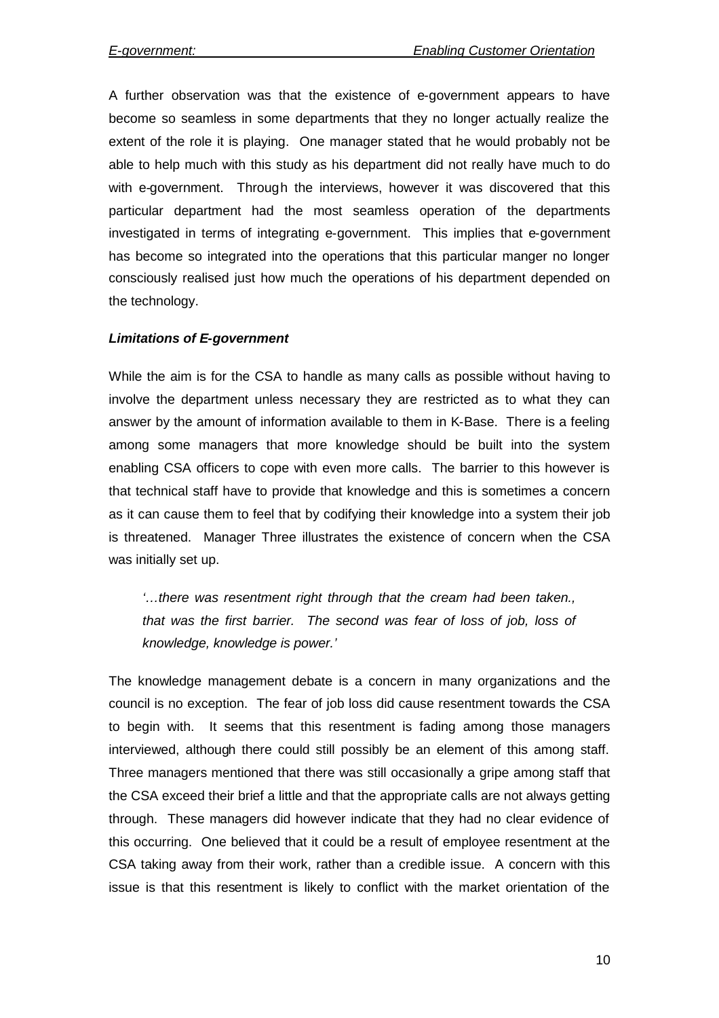A further observation was that the existence of e-government appears to have become so seamless in some departments that they no longer actually realize the extent of the role it is playing. One manager stated that he would probably not be able to help much with this study as his department did not really have much to do with e-government. Through the interviews, however it was discovered that this particular department had the most seamless operation of the departments investigated in terms of integrating e-government. This implies that e-government has become so integrated into the operations that this particular manger no longer consciously realised just how much the operations of his department depended on the technology.

#### *Limitations of E-government*

While the aim is for the CSA to handle as many calls as possible without having to involve the department unless necessary they are restricted as to what they can answer by the amount of information available to them in K-Base. There is a feeling among some managers that more knowledge should be built into the system enabling CSA officers to cope with even more calls. The barrier to this however is that technical staff have to provide that knowledge and this is sometimes a concern as it can cause them to feel that by codifying their knowledge into a system their job is threatened. Manager Three illustrates the existence of concern when the CSA was initially set up.

*'…there was resentment right through that the cream had been taken., that was the first barrier. The second was fear of loss of job, loss of knowledge, knowledge is power.'*

The knowledge management debate is a concern in many organizations and the council is no exception. The fear of job loss did cause resentment towards the CSA to begin with. It seems that this resentment is fading among those managers interviewed, although there could still possibly be an element of this among staff. Three managers mentioned that there was still occasionally a gripe among staff that the CSA exceed their brief a little and that the appropriate calls are not always getting through. These managers did however indicate that they had no clear evidence of this occurring. One believed that it could be a result of employee resentment at the CSA taking away from their work, rather than a credible issue. A concern with this issue is that this resentment is likely to conflict with the market orientation of the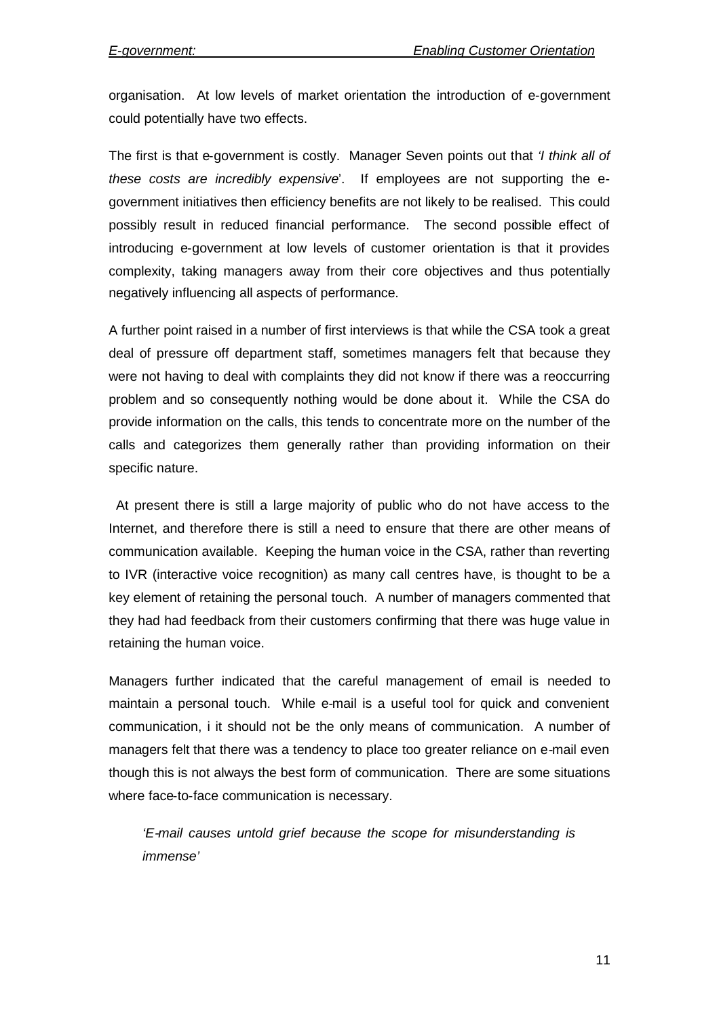organisation. At low levels of market orientation the introduction of e-government could potentially have two effects.

The first is that e-government is costly. Manager Seven points out that *'I think all of these costs are incredibly expensive*'. If employees are not supporting the egovernment initiatives then efficiency benefits are not likely to be realised. This could possibly result in reduced financial performance. The second possible effect of introducing e-government at low levels of customer orientation is that it provides complexity, taking managers away from their core objectives and thus potentially negatively influencing all aspects of performance.

A further point raised in a number of first interviews is that while the CSA took a great deal of pressure off department staff, sometimes managers felt that because they were not having to deal with complaints they did not know if there was a reoccurring problem and so consequently nothing would be done about it. While the CSA do provide information on the calls, this tends to concentrate more on the number of the calls and categorizes them generally rather than providing information on their specific nature.

At present there is still a large majority of public who do not have access to the Internet, and therefore there is still a need to ensure that there are other means of communication available. Keeping the human voice in the CSA, rather than reverting to IVR (interactive voice recognition) as many call centres have, is thought to be a key element of retaining the personal touch. A number of managers commented that they had had feedback from their customers confirming that there was huge value in retaining the human voice.

Managers further indicated that the careful management of email is needed to maintain a personal touch. While e-mail is a useful tool for quick and convenient communication, i it should not be the only means of communication. A number of managers felt that there was a tendency to place too greater reliance on e-mail even though this is not always the best form of communication. There are some situations where face-to-face communication is necessary.

*'E-mail causes untold grief because the scope for misunderstanding is immense'*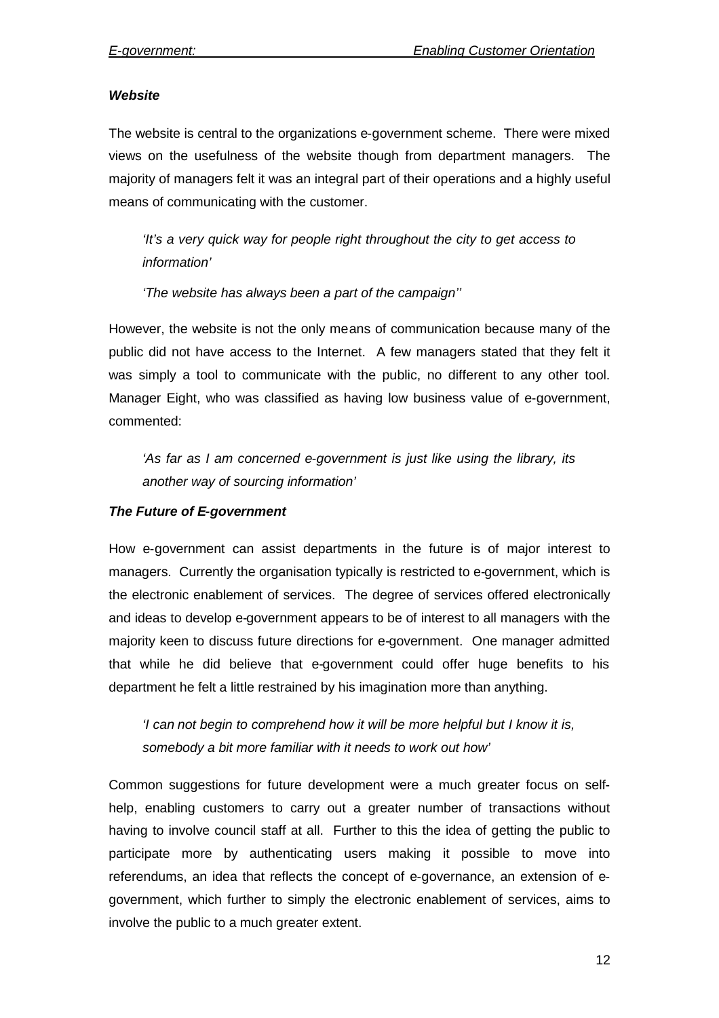#### *Website*

The website is central to the organizations e-government scheme. There were mixed views on the usefulness of the website though from department managers. The majority of managers felt it was an integral part of their operations and a highly useful means of communicating with the customer.

*'It's a very quick way for people right throughout the city to get access to information'*

*'The website has always been a part of the campaign''*

However, the website is not the only means of communication because many of the public did not have access to the Internet. A few managers stated that they felt it was simply a tool to communicate with the public, no different to any other tool. Manager Eight, who was classified as having low business value of e-government, commented:

*'As far as I am concerned e-government is just like using the library, its another way of sourcing information'*

#### *The Future of E-government*

How e-government can assist departments in the future is of major interest to managers. Currently the organisation typically is restricted to e-government, which is the electronic enablement of services. The degree of services offered electronically and ideas to develop e-government appears to be of interest to all managers with the majority keen to discuss future directions for e-government. One manager admitted that while he did believe that e-government could offer huge benefits to his department he felt a little restrained by his imagination more than anything.

*'I can not begin to comprehend how it will be more helpful but I know it is, somebody a bit more familiar with it needs to work out how'*

Common suggestions for future development were a much greater focus on selfhelp, enabling customers to carry out a greater number of transactions without having to involve council staff at all. Further to this the idea of getting the public to participate more by authenticating users making it possible to move into referendums, an idea that reflects the concept of e-governance, an extension of egovernment, which further to simply the electronic enablement of services, aims to involve the public to a much greater extent.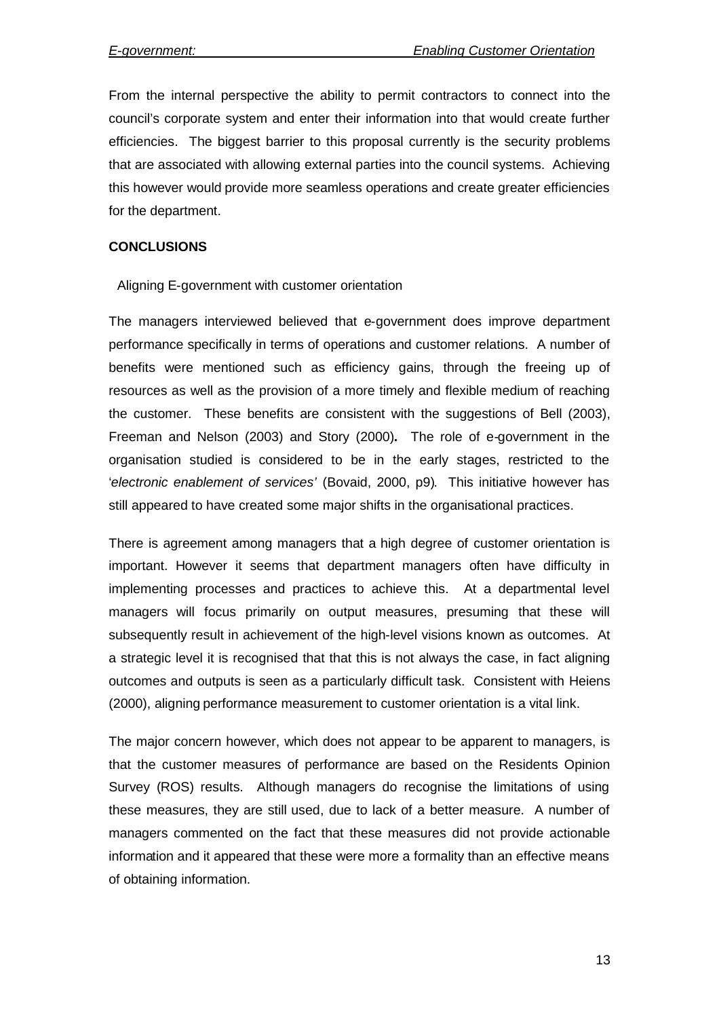From the internal perspective the ability to permit contractors to connect into the council's corporate system and enter their information into that would create further efficiencies. The biggest barrier to this proposal currently is the security problems that are associated with allowing external parties into the council systems. Achieving this however would provide more seamless operations and create greater efficiencies for the department.

#### **CONCLUSIONS**

Aligning E-government with customer orientation

The managers interviewed believed that e-government does improve department performance specifically in terms of operations and customer relations. A number of benefits were mentioned such as efficiency gains, through the freeing up of resources as well as the provision of a more timely and flexible medium of reaching the customer. These benefits are consistent with the suggestions of Bell (2003), Freeman and Nelson (2003) and Story (2000)**.** The role of e-government in the organisation studied is considered to be in the early stages, restricted to the '*electronic enablement of services'* (Bovaid, 2000, p9). This initiative however has still appeared to have created some major shifts in the organisational practices.

There is agreement among managers that a high degree of customer orientation is important. However it seems that department managers often have difficulty in implementing processes and practices to achieve this. At a departmental level managers will focus primarily on output measures, presuming that these will subsequently result in achievement of the high-level visions known as outcomes. At a strategic level it is recognised that that this is not always the case, in fact aligning outcomes and outputs is seen as a particularly difficult task. Consistent with Heiens (2000), aligning performance measurement to customer orientation is a vital link.

The major concern however, which does not appear to be apparent to managers, is that the customer measures of performance are based on the Residents Opinion Survey (ROS) results. Although managers do recognise the limitations of using these measures, they are still used, due to lack of a better measure. A number of managers commented on the fact that these measures did not provide actionable information and it appeared that these were more a formality than an effective means of obtaining information.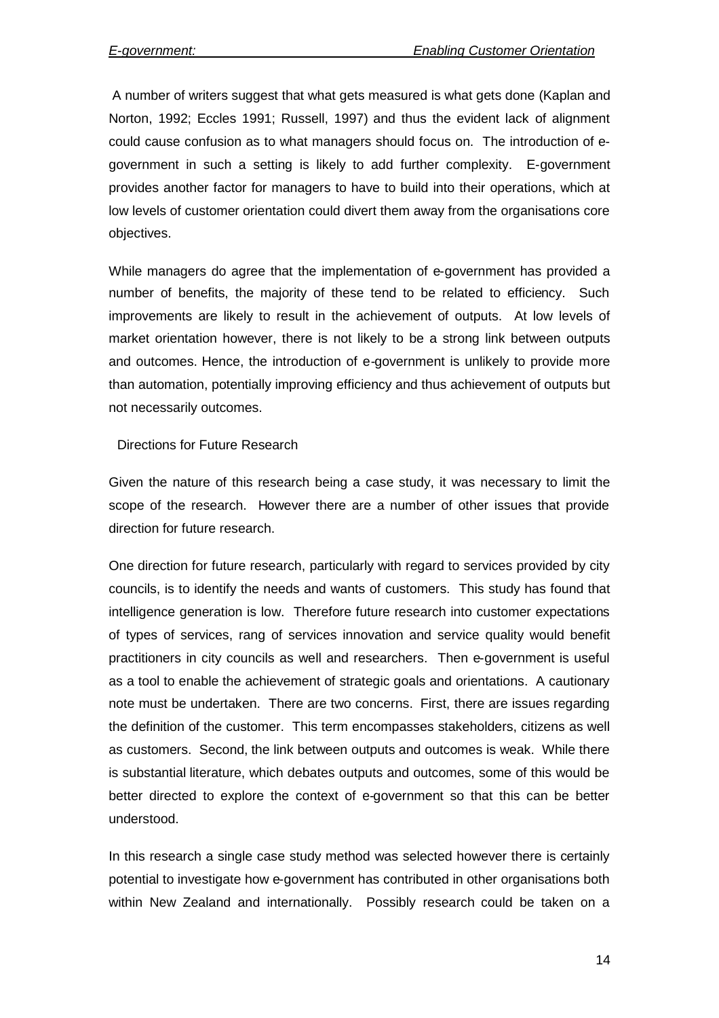A number of writers suggest that what gets measured is what gets done (Kaplan and Norton, 1992; Eccles 1991; Russell, 1997) and thus the evident lack of alignment could cause confusion as to what managers should focus on. The introduction of egovernment in such a setting is likely to add further complexity. E-government provides another factor for managers to have to build into their operations, which at low levels of customer orientation could divert them away from the organisations core objectives.

While managers do agree that the implementation of e-government has provided a number of benefits, the majority of these tend to be related to efficiency. Such improvements are likely to result in the achievement of outputs. At low levels of market orientation however, there is not likely to be a strong link between outputs and outcomes. Hence, the introduction of e-government is unlikely to provide more than automation, potentially improving efficiency and thus achievement of outputs but not necessarily outcomes.

#### Directions for Future Research

Given the nature of this research being a case study, it was necessary to limit the scope of the research. However there are a number of other issues that provide direction for future research.

One direction for future research, particularly with regard to services provided by city councils, is to identify the needs and wants of customers. This study has found that intelligence generation is low. Therefore future research into customer expectations of types of services, rang of services innovation and service quality would benefit practitioners in city councils as well and researchers. Then e-government is useful as a tool to enable the achievement of strategic goals and orientations. A cautionary note must be undertaken. There are two concerns. First, there are issues regarding the definition of the customer. This term encompasses stakeholders, citizens as well as customers. Second, the link between outputs and outcomes is weak. While there is substantial literature, which debates outputs and outcomes, some of this would be better directed to explore the context of e-government so that this can be better understood.

In this research a single case study method was selected however there is certainly potential to investigate how e-government has contributed in other organisations both within New Zealand and internationally. Possibly research could be taken on a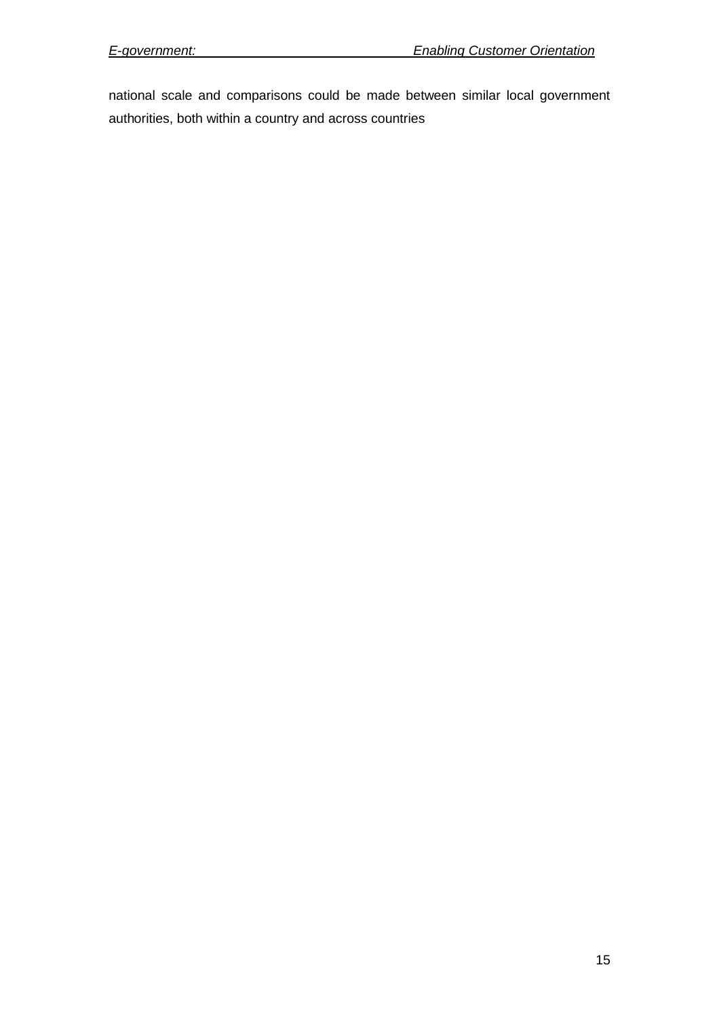national scale and comparisons could be made between similar local government authorities, both within a country and across countries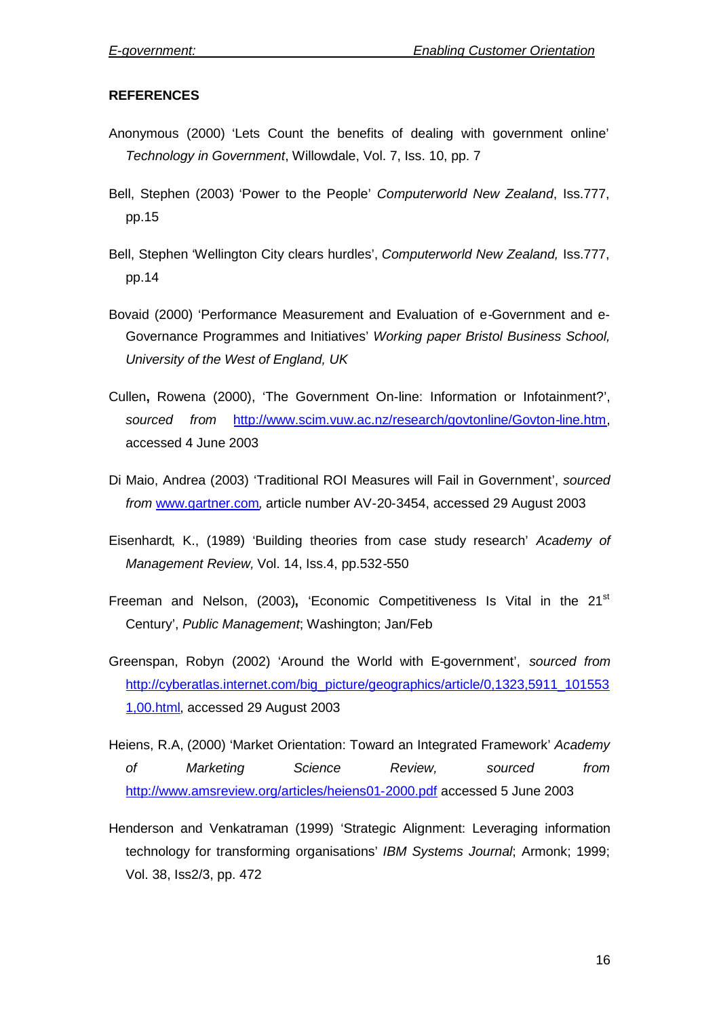### **REFERENCES**

- Anonymous (2000) 'Lets Count the benefits of dealing with government online' *Technology in Government*, Willowdale, Vol. 7, Iss. 10, pp. 7
- Bell, Stephen (2003) 'Power to the People' *Computerworld New Zealand*, Iss.777, pp.15
- Bell, Stephen 'Wellington City clears hurdles', *Computerworld New Zealand,* Iss.777, pp.14
- Bovaid (2000) 'Performance Measurement and Evaluation of e-Government and e-Governance Programmes and Initiatives' *Working paper Bristol Business School, University of the West of England, UK*
- Cullen**,** Rowena (2000), 'The Government On-line: Information or Infotainment?', *sourced from* http://www.scim.vuw.ac.nz/research/govtonline/Govton-line.htm, accessed 4 June 2003
- Di Maio, Andrea (2003) 'Traditional ROI Measures will Fail in Government', *sourced from* www.gartner.com, article number AV-20-3454, accessed 29 August 2003
- Eisenhardt, K., (1989) 'Building theories from case study research' *Academy of Management Review,* Vol. 14, Iss.4, pp.532-550
- Freeman and Nelson, (2003), 'Economic Competitiveness Is Vital in the 21<sup>st</sup> Century', *Public Management*; Washington; Jan/Feb
- Greenspan, Robyn (2002) 'Around the World with E-government', *sourced from* http://cyberatlas.internet.com/big\_picture/geographics/article/0,1323,5911\_101553 1,00.html, accessed 29 August 2003
- Heiens, R.A, (2000) 'Market Orientation: Toward an Integrated Framework' *Academy of Marketing Science Review, sourced from* http://www.amsreview.org/articles/heiens01-2000.pdf accessed 5 June 2003
- Henderson and Venkatraman (1999) 'Strategic Alignment: Leveraging information technology for transforming organisations' *IBM Systems Journal*; Armonk; 1999; Vol. 38, Iss2/3, pp. 472